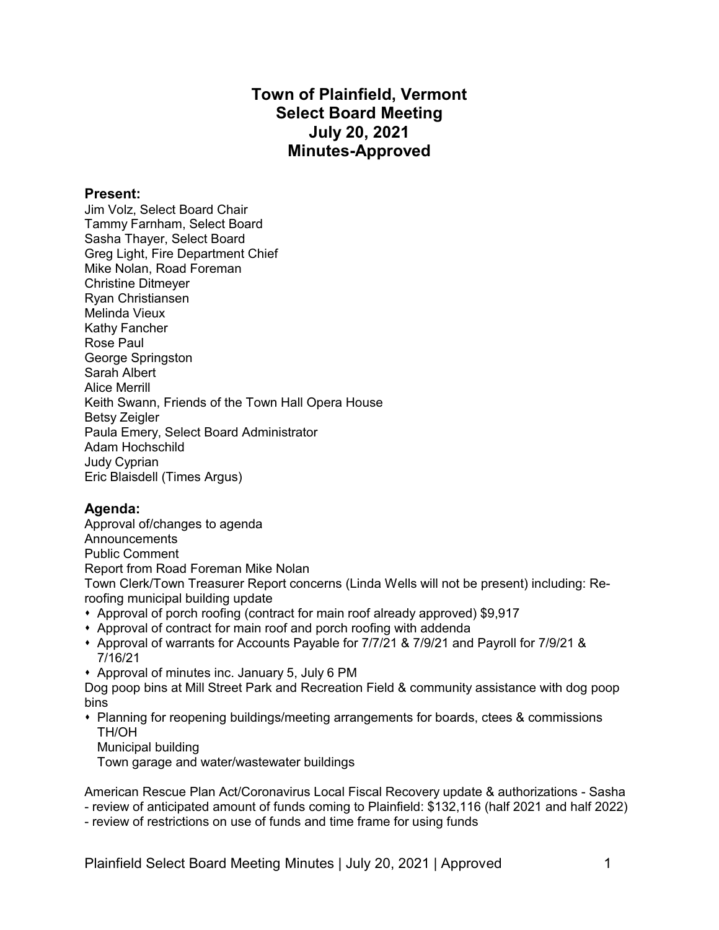# **Town of Plainfield, Vermont Select Board Meeting July 20, 2021 Minutes-Approved**

#### **Present:**

Jim Volz, Select Board Chair Tammy Farnham, Select Board Sasha Thayer, Select Board Greg Light, Fire Department Chief Mike Nolan, Road Foreman Christine Ditmeyer Ryan Christiansen Melinda Vieux Kathy Fancher Rose Paul George Springston Sarah Albert Alice Merrill Keith Swann, Friends of the Town Hall Opera House Betsy Zeigler Paula Emery, Select Board Administrator Adam Hochschild Judy Cyprian Eric Blaisdell (Times Argus)

### **Agenda:**

Approval of/changes to agenda **Announcements** Public Comment Report from Road Foreman Mike Nolan Town Clerk/Town Treasurer Report concerns (Linda Wells will not be present) including: Reroofing municipal building update

- Approval of porch roofing (contract for main roof already approved) \$9,917
- Approval of contract for main roof and porch roofing with addenda
- s Approval of warrants for Accounts Payable for 7/7/21 & 7/9/21 and Payroll for 7/9/21 & 7/16/21
- Approval of minutes inc. January 5, July 6 PM

Dog poop bins at Mill Street Park and Recreation Field & community assistance with dog poop bins

- Planning for reopening buildings/meeting arrangements for boards, ctees & commissions TH/OH
	- Municipal building

Town garage and water/wastewater buildings

American Rescue Plan Act/Coronavirus Local Fiscal Recovery update & authorizations - Sasha - review of anticipated amount of funds coming to Plainfield: \$132,116 (half 2021 and half 2022)

- review of restrictions on use of funds and time frame for using funds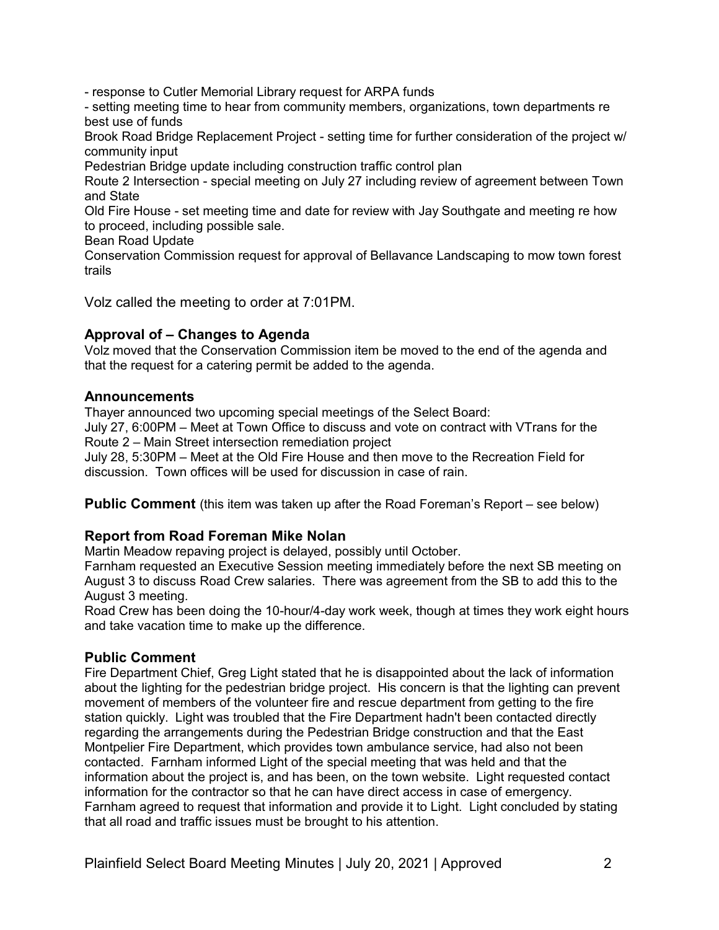- response to Cutler Memorial Library request for ARPA funds

- setting meeting time to hear from community members, organizations, town departments re best use of funds

Brook Road Bridge Replacement Project - setting time for further consideration of the project w/ community input

Pedestrian Bridge update including construction traffic control plan

Route 2 Intersection - special meeting on July 27 including review of agreement between Town and State

Old Fire House - set meeting time and date for review with Jay Southgate and meeting re how to proceed, including possible sale.

Bean Road Update

Conservation Commission request for approval of Bellavance Landscaping to mow town forest trails

Volz called the meeting to order at 7:01PM.

### **Approval of – Changes to Agenda**

Volz moved that the Conservation Commission item be moved to the end of the agenda and that the request for a catering permit be added to the agenda.

#### **Announcements**

Thayer announced two upcoming special meetings of the Select Board:

July 27, 6:00PM – Meet at Town Office to discuss and vote on contract with VTrans for the Route 2 – Main Street intersection remediation project

July 28, 5:30PM – Meet at the Old Fire House and then move to the Recreation Field for discussion. Town offices will be used for discussion in case of rain.

**Public Comment** (this item was taken up after the Road Foreman's Report – see below)

### **Report from Road Foreman Mike Nolan**

Martin Meadow repaving project is delayed, possibly until October.

Farnham requested an Executive Session meeting immediately before the next SB meeting on August 3 to discuss Road Crew salaries. There was agreement from the SB to add this to the August 3 meeting.

Road Crew has been doing the 10-hour/4-day work week, though at times they work eight hours and take vacation time to make up the difference.

### **Public Comment**

Fire Department Chief, Greg Light stated that he is disappointed about the lack of information about the lighting for the pedestrian bridge project. His concern is that the lighting can prevent movement of members of the volunteer fire and rescue department from getting to the fire station quickly. Light was troubled that the Fire Department hadn't been contacted directly regarding the arrangements during the Pedestrian Bridge construction and that the East Montpelier Fire Department, which provides town ambulance service, had also not been contacted. Farnham informed Light of the special meeting that was held and that the information about the project is, and has been, on the town website. Light requested contact information for the contractor so that he can have direct access in case of emergency. Farnham agreed to request that information and provide it to Light. Light concluded by stating that all road and traffic issues must be brought to his attention.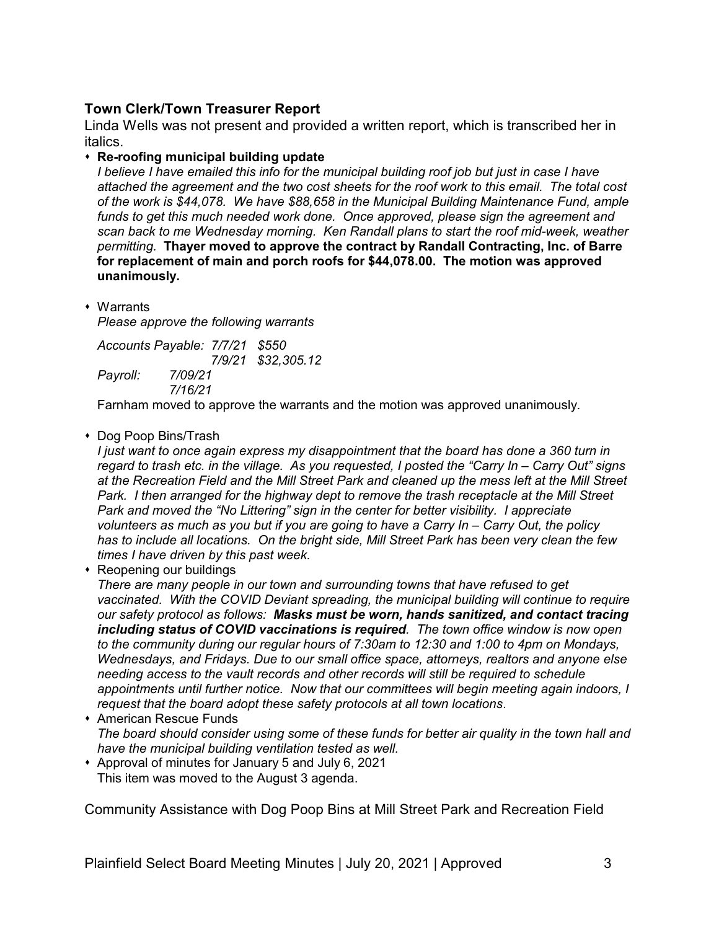# **Town Clerk/Town Treasurer Report**

Linda Wells was not present and provided a written report, which is transcribed her in italics.

### s **Re-roofing municipal building update**

*I believe I have emailed this info for the municipal building roof job but just in case I have attached the agreement and the two cost sheets for the roof work to this email. The total cost of the work is \$44,078. We have \$88,658 in the Municipal Building Maintenance Fund, ample funds to get this much needed work done. Once approved, please sign the agreement and scan back to me Wednesday morning. Ken Randall plans to start the roof mid-week, weather permitting.* **Thayer moved to approve the contract by Randall Contracting, Inc. of Barre for replacement of main and porch roofs for \$44,078.00. The motion was approved unanimously.**

 $\cdot$  Warrants

*Please approve the following warrants*

*Accounts Payable: 7/7/21 \$550 7/9/21 \$32,305.12 Payroll: 7/09/21 7/16/21*

Farnham moved to approve the warrants and the motion was approved unanimously.

### • Dog Poop Bins/Trash

*I just want to once again express my disappointment that the board has done a 360 turn in regard to trash etc. in the village. As you requested, I posted the "Carry In – Carry Out" signs at the Recreation Field and the Mill Street Park and cleaned up the mess left at the Mill Street Park. I then arranged for the highway dept to remove the trash receptacle at the Mill Street Park and moved the "No Littering" sign in the center for better visibility. I appreciate volunteers as much as you but if you are going to have a Carry In – Carry Out, the policy has to include all locations. On the bright side, Mill Street Park has been very clean the few times I have driven by this past week.*

• Reopening our buildings

*There are many people in our town and surrounding towns that have refused to get vaccinated. With the COVID Deviant spreading, the municipal building will continue to require our safety protocol as follows: Masks must be worn, hands sanitized, and contact tracing including status of COVID vaccinations is required. The town office window is now open to the community during our regular hours of 7:30am to 12:30 and 1:00 to 4pm on Mondays, Wednesdays, and Fridays. Due to our small office space, attorneys, realtors and anyone else needing access to the vault records and other records will still be required to schedule appointments until further notice. Now that our committees will begin meeting again indoors, I request that the board adopt these safety protocols at all town locations*.

- **\*** American Rescue Funds *The board should consider using some of these funds for better air quality in the town hall and have the municipal building ventilation tested as well.*
- \* Approval of minutes for January 5 and July 6, 2021 This item was moved to the August 3 agenda.

Community Assistance with Dog Poop Bins at Mill Street Park and Recreation Field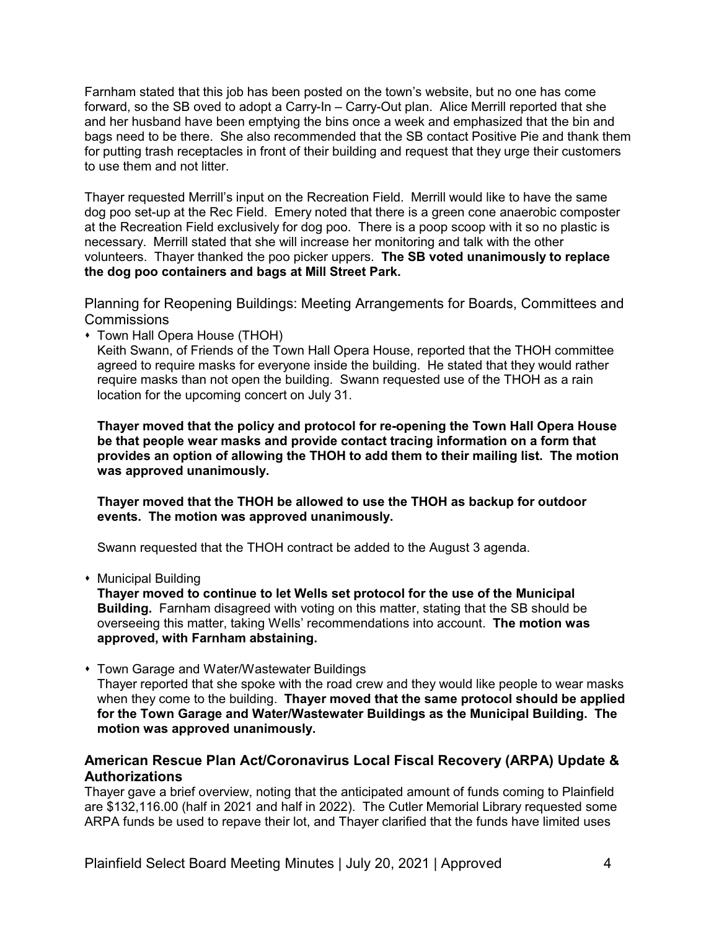Farnham stated that this job has been posted on the town's website, but no one has come forward, so the SB oved to adopt a Carry-In – Carry-Out plan. Alice Merrill reported that she and her husband have been emptying the bins once a week and emphasized that the bin and bags need to be there. She also recommended that the SB contact Positive Pie and thank them for putting trash receptacles in front of their building and request that they urge their customers to use them and not litter.

Thayer requested Merrill's input on the Recreation Field. Merrill would like to have the same dog poo set-up at the Rec Field. Emery noted that there is a green cone anaerobic composter at the Recreation Field exclusively for dog poo. There is a poop scoop with it so no plastic is necessary. Merrill stated that she will increase her monitoring and talk with the other volunteers. Thayer thanked the poo picker uppers. **The SB voted unanimously to replace the dog poo containers and bags at Mill Street Park.**

Planning for Reopening Buildings: Meeting Arrangements for Boards, Committees and Commissions

• Town Hall Opera House (THOH)

Keith Swann, of Friends of the Town Hall Opera House, reported that the THOH committee agreed to require masks for everyone inside the building. He stated that they would rather require masks than not open the building. Swann requested use of the THOH as a rain location for the upcoming concert on July 31.

**Thayer moved that the policy and protocol for re-opening the Town Hall Opera House be that people wear masks and provide contact tracing information on a form that provides an option of allowing the THOH to add them to their mailing list. The motion was approved unanimously.**

**Thayer moved that the THOH be allowed to use the THOH as backup for outdoor events. The motion was approved unanimously.**

Swann requested that the THOH contract be added to the August 3 agenda.

• Municipal Building

**Thayer moved to continue to let Wells set protocol for the use of the Municipal Building.** Farnham disagreed with voting on this matter, stating that the SB should be overseeing this matter, taking Wells' recommendations into account. **The motion was approved, with Farnham abstaining.**

• Town Garage and Water/Wastewater Buildings Thayer reported that she spoke with the road crew and they would like people to wear masks when they come to the building. **Thayer moved that the same protocol should be applied for the Town Garage and Water/Wastewater Buildings as the Municipal Building. The motion was approved unanimously.**

# **American Rescue Plan Act/Coronavirus Local Fiscal Recovery (ARPA) Update & Authorizations**

Thayer gave a brief overview, noting that the anticipated amount of funds coming to Plainfield are \$132,116.00 (half in 2021 and half in 2022). The Cutler Memorial Library requested some ARPA funds be used to repave their lot, and Thayer clarified that the funds have limited uses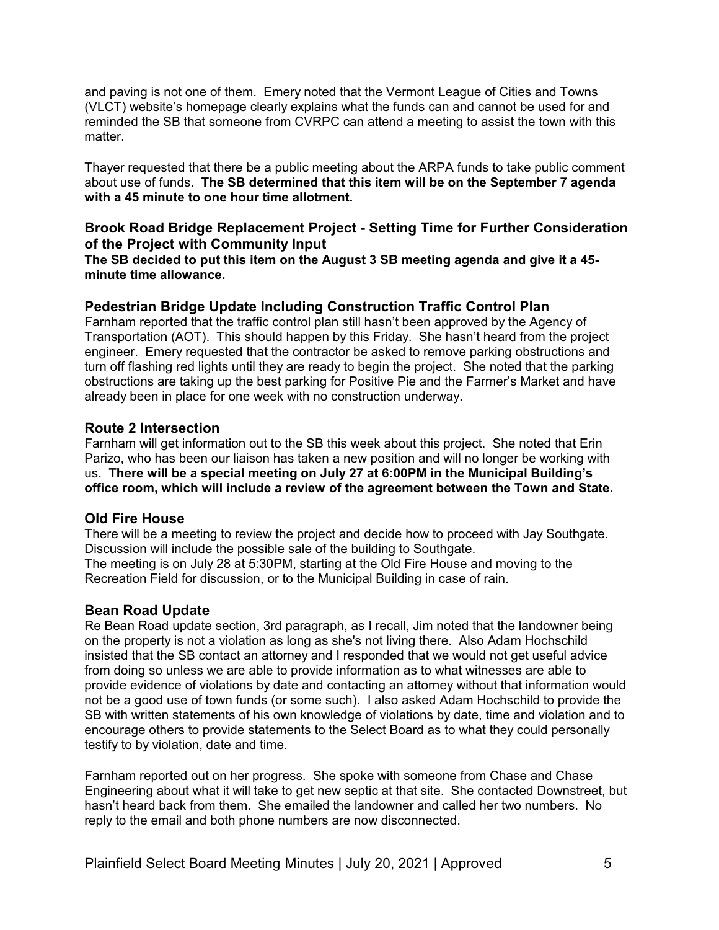and paving is not one of them. Emery noted that the Vermont League of Cities and Towns (VLCT) website's homepage clearly explains what the funds can and cannot be used for and reminded the SB that someone from CVRPC can attend a meeting to assist the town with this matter.

Thayer requested that there be a public meeting about the ARPA funds to take public comment about use of funds. **The SB determined that this item will be on the September 7 agenda with a 45 minute to one hour time allotment.**

# **Brook Road Bridge Replacement Project - Setting Time for Further Consideration of the Project with Community Input**

**The SB decided to put this item on the August 3 SB meeting agenda and give it a 45 minute time allowance.**

# **Pedestrian Bridge Update Including Construction Traffic Control Plan**

Farnham reported that the traffic control plan still hasn't been approved by the Agency of Transportation (AOT). This should happen by this Friday. She hasn't heard from the project engineer. Emery requested that the contractor be asked to remove parking obstructions and turn off flashing red lights until they are ready to begin the project. She noted that the parking obstructions are taking up the best parking for Positive Pie and the Farmer's Market and have already been in place for one week with no construction underway.

### **Route 2 Intersection**

Farnham will get information out to the SB this week about this project. She noted that Erin Parizo, who has been our liaison has taken a new position and will no longer be working with us. **There will be a special meeting on July 27 at 6:00PM in the Municipal Building's office room, which will include a review of the agreement between the Town and State.**

### **Old Fire House**

There will be a meeting to review the project and decide how to proceed with Jay Southgate. Discussion will include the possible sale of the building to Southgate. The meeting is on July 28 at 5:30PM, starting at the Old Fire House and moving to the Recreation Field for discussion, or to the Municipal Building in case of rain.

### **Bean Road Update**

Re Bean Road update section, 3rd paragraph, as I recall, Jim noted that the landowner being on the property is not a violation as long as she's not living there. Also Adam Hochschild insisted that the SB contact an attorney and I responded that we would not get useful advice from doing so unless we are able to provide information as to what witnesses are able to provide evidence of violations by date and contacting an attorney without that information would not be a good use of town funds (or some such). I also asked Adam Hochschild to provide the SB with written statements of his own knowledge of violations by date, time and violation and to encourage others to provide statements to the Select Board as to what they could personally testify to by violation, date and time.

Farnham reported out on her progress. She spoke with someone from Chase and Chase Engineering about what it will take to get new septic at that site. She contacted Downstreet, but hasn't heard back from them. She emailed the landowner and called her two numbers. No reply to the email and both phone numbers are now disconnected.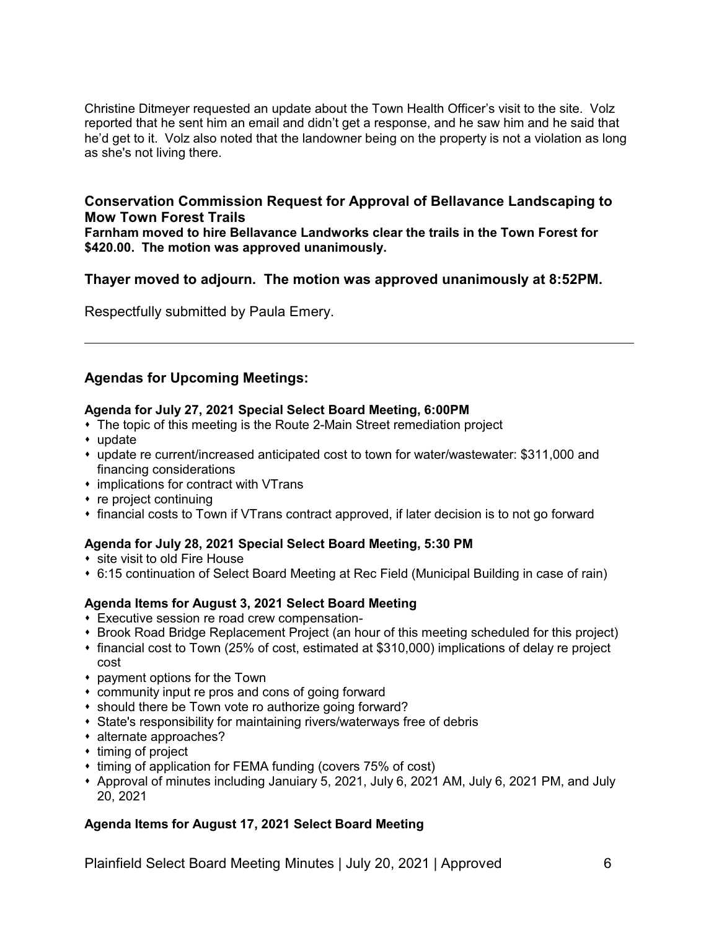Christine Ditmeyer requested an update about the Town Health Officer's visit to the site. Volz reported that he sent him an email and didn't get a response, and he saw him and he said that he'd get to it. Volz also noted that the landowner being on the property is not a violation as long as she's not living there.

### **Conservation Commission Request for Approval of Bellavance Landscaping to Mow Town Forest Trails**

**Farnham moved to hire Bellavance Landworks clear the trails in the Town Forest for \$420.00. The motion was approved unanimously.**

# **Thayer moved to adjourn. The motion was approved unanimously at 8:52PM.**

Respectfully submitted by Paula Emery.

# **Agendas for Upcoming Meetings:**

### **Agenda for July 27, 2021 Special Select Board Meeting, 6:00PM**

- The topic of this meeting is the Route 2-Main Street remediation project
- $*$  update
- update re current/increased anticipated cost to town for water/wastewater: \$311,000 and financing considerations
- $*$  implications for contract with VTrans
- $*$  re project continuing
- financial costs to Town if VTrans contract approved, if later decision is to not go forward

### **Agenda for July 28, 2021 Special Select Board Meeting, 5:30 PM**

- site visit to old Fire House
- 6:15 continuation of Select Board Meeting at Rec Field (Municipal Building in case of rain)

# **Agenda Items for August 3, 2021 Select Board Meeting**

- **\* Executive session re road crew compensation-**
- Brook Road Bridge Replacement Project (an hour of this meeting scheduled for this project)
- s financial cost to Town (25% of cost, estimated at \$310,000) implications of delay re project cost
- payment options for the Town
- community input re pros and cons of going forward
- \* should there be Town vote ro authorize going forward?
- State's responsibility for maintaining rivers/waterways free of debris
- alternate approaches?
- $*$  timing of project
- timing of application for FEMA funding (covers 75% of cost)
- Approval of minutes including Januiary 5, 2021, July 6, 2021 AM, July 6, 2021 PM, and July 20, 2021

# **Agenda Items for August 17, 2021 Select Board Meeting**

Plainfield Select Board Meeting Minutes | July 20, 2021 | Approved 6